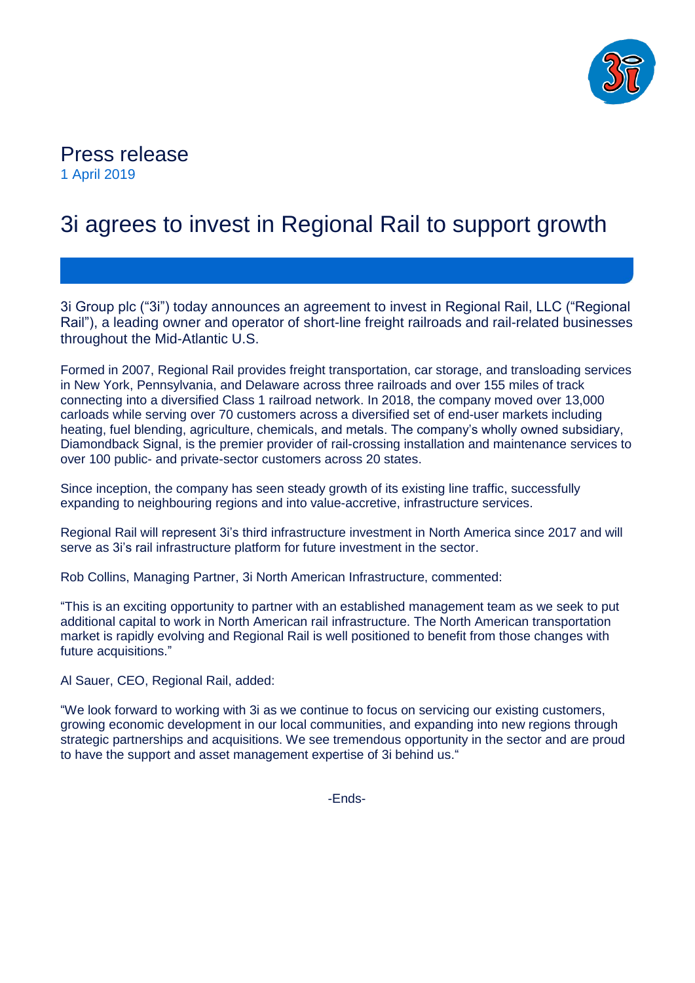

# Press release 1 April 2019

# 3i agrees to invest in Regional Rail to support growth

3i Group plc ("3i") today announces an agreement to invest in Regional Rail, LLC ("Regional Rail"), a leading owner and operator of short-line freight railroads and rail-related businesses throughout the Mid-Atlantic U.S.

Formed in 2007, Regional Rail provides freight transportation, car storage, and transloading services in New York, Pennsylvania, and Delaware across three railroads and over 155 miles of track connecting into a diversified Class 1 railroad network. In 2018, the company moved over 13,000 carloads while serving over 70 customers across a diversified set of end-user markets including heating, fuel blending, agriculture, chemicals, and metals. The company's wholly owned subsidiary, Diamondback Signal, is the premier provider of rail-crossing installation and maintenance services to over 100 public- and private-sector customers across 20 states.

Since inception, the company has seen steady growth of its existing line traffic, successfully expanding to neighbouring regions and into value-accretive, infrastructure services.

Regional Rail will represent 3i's third infrastructure investment in North America since 2017 and will serve as 3i's rail infrastructure platform for future investment in the sector.

Rob Collins, Managing Partner, 3i North American Infrastructure, commented:

"This is an exciting opportunity to partner with an established management team as we seek to put additional capital to work in North American rail infrastructure. The North American transportation market is rapidly evolving and Regional Rail is well positioned to benefit from those changes with future acquisitions."

Al Sauer, CEO, Regional Rail, added:

"We look forward to working with 3i as we continue to focus on servicing our existing customers, growing economic development in our local communities, and expanding into new regions through strategic partnerships and acquisitions. We see tremendous opportunity in the sector and are proud to have the support and asset management expertise of 3i behind us."

-Ends-